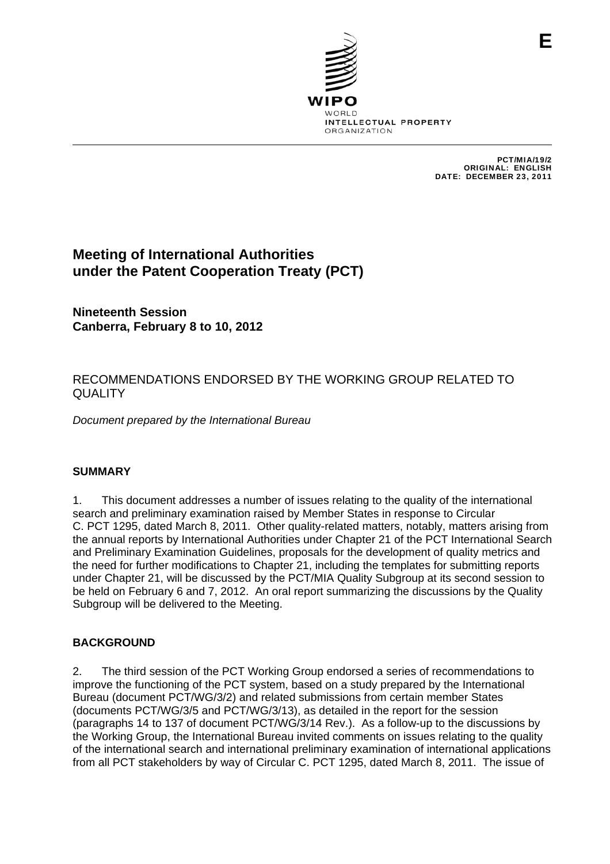

PCT/MIA/19/2 ORIGINAL: ENGLISH DATE: DECEMBER 23, 2011

# **Meeting of International Authorities under the Patent Cooperation Treaty (PCT)**

**Nineteenth Session Canberra, February 8 to 10, 2012** 

## RECOMMENDATIONS ENDORSED BY THE WORKING GROUP RELATED TO **QUALITY**

*Document prepared by the International Bureau* 

## **SUMMARY**

1. This document addresses a number of issues relating to the quality of the international search and preliminary examination raised by Member States in response to Circular C. PCT 1295, dated March 8, 2011. Other quality-related matters, notably, matters arising from the annual reports by International Authorities under Chapter 21 of the PCT International Search and Preliminary Examination Guidelines, proposals for the development of quality metrics and the need for further modifications to Chapter 21, including the templates for submitting reports under Chapter 21, will be discussed by the PCT/MIA Quality Subgroup at its second session to be held on February 6 and 7, 2012. An oral report summarizing the discussions by the Quality Subgroup will be delivered to the Meeting.

## **BACKGROUND**

2. The third session of the PCT Working Group endorsed a series of recommendations to improve the functioning of the PCT system, based on a study prepared by the International Bureau (document PCT/WG/3/2) and related submissions from certain member States (documents PCT/WG/3/5 and PCT/WG/3/13), as detailed in the report for the session (paragraphs 14 to 137 of document PCT/WG/3/14 Rev.). As a follow-up to the discussions by the Working Group, the International Bureau invited comments on issues relating to the quality of the international search and international preliminary examination of international applications from all PCT stakeholders by way of Circular C. PCT 1295, dated March 8, 2011. The issue of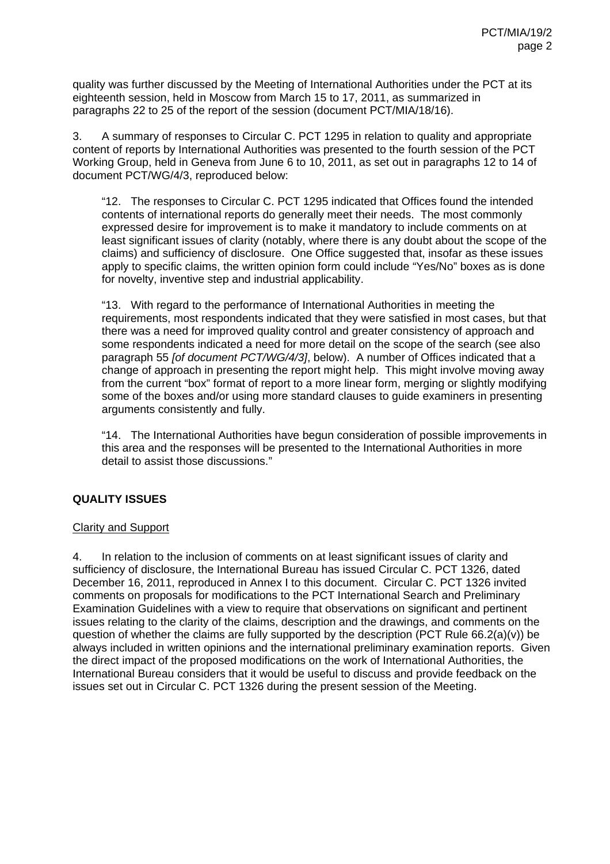quality was further discussed by the Meeting of International Authorities under the PCT at its eighteenth session, held in Moscow from March 15 to 17, 2011, as summarized in paragraphs 22 to 25 of the report of the session (document PCT/MIA/18/16).

3. A summary of responses to Circular C. PCT 1295 in relation to quality and appropriate content of reports by International Authorities was presented to the fourth session of the PCT Working Group, held in Geneva from June 6 to 10, 2011, as set out in paragraphs 12 to 14 of document PCT/WG/4/3, reproduced below:

"12. The responses to Circular C. PCT 1295 indicated that Offices found the intended contents of international reports do generally meet their needs. The most commonly expressed desire for improvement is to make it mandatory to include comments on at least significant issues of clarity (notably, where there is any doubt about the scope of the claims) and sufficiency of disclosure. One Office suggested that, insofar as these issues apply to specific claims, the written opinion form could include "Yes/No" boxes as is done for novelty, inventive step and industrial applicability.

"13. With regard to the performance of International Authorities in meeting the requirements, most respondents indicated that they were satisfied in most cases, but that there was a need for improved quality control and greater consistency of approach and some respondents indicated a need for more detail on the scope of the search (see also paragraph 55 *[of document PCT/WG/4/3]*, below). A number of Offices indicated that a change of approach in presenting the report might help. This might involve moving away from the current "box" format of report to a more linear form, merging or slightly modifying some of the boxes and/or using more standard clauses to guide examiners in presenting arguments consistently and fully.

"14. The International Authorities have begun consideration of possible improvements in this area and the responses will be presented to the International Authorities in more detail to assist those discussions."

## **QUALITY ISSUES**

## Clarity and Support

4. In relation to the inclusion of comments on at least significant issues of clarity and sufficiency of disclosure, the International Bureau has issued Circular C. PCT 1326, dated December 16, 2011, reproduced in Annex I to this document. Circular C. PCT 1326 invited comments on proposals for modifications to the PCT International Search and Preliminary Examination Guidelines with a view to require that observations on significant and pertinent issues relating to the clarity of the claims, description and the drawings, and comments on the question of whether the claims are fully supported by the description (PCT Rule 66.2(a)(v)) be always included in written opinions and the international preliminary examination reports. Given the direct impact of the proposed modifications on the work of International Authorities, the International Bureau considers that it would be useful to discuss and provide feedback on the issues set out in Circular C. PCT 1326 during the present session of the Meeting.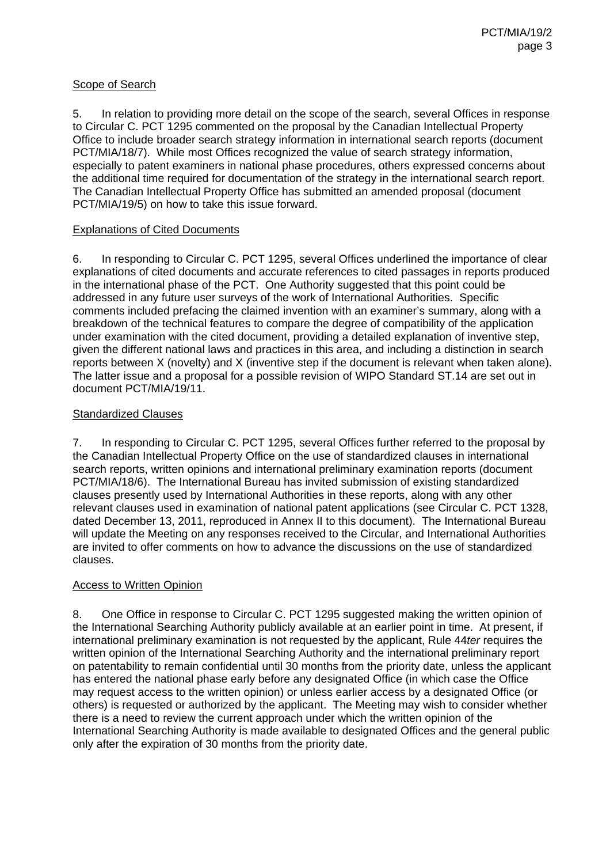## Scope of Search

5. In relation to providing more detail on the scope of the search, several Offices in response to Circular C. PCT 1295 commented on the proposal by the Canadian Intellectual Property Office to include broader search strategy information in international search reports (document PCT/MIA/18/7). While most Offices recognized the value of search strategy information, especially to patent examiners in national phase procedures, others expressed concerns about the additional time required for documentation of the strategy in the international search report. The Canadian Intellectual Property Office has submitted an amended proposal (document PCT/MIA/19/5) on how to take this issue forward.

## Explanations of Cited Documents

6. In responding to Circular C. PCT 1295, several Offices underlined the importance of clear explanations of cited documents and accurate references to cited passages in reports produced in the international phase of the PCT. One Authority suggested that this point could be addressed in any future user surveys of the work of International Authorities. Specific comments included prefacing the claimed invention with an examiner's summary, along with a breakdown of the technical features to compare the degree of compatibility of the application under examination with the cited document, providing a detailed explanation of inventive step, given the different national laws and practices in this area, and including a distinction in search reports between X (novelty) and X (inventive step if the document is relevant when taken alone). The latter issue and a proposal for a possible revision of WIPO Standard ST.14 are set out in document PCT/MIA/19/11.

## Standardized Clauses

7. In responding to Circular C. PCT 1295, several Offices further referred to the proposal by the Canadian Intellectual Property Office on the use of standardized clauses in international search reports, written opinions and international preliminary examination reports (document PCT/MIA/18/6). The International Bureau has invited submission of existing standardized clauses presently used by International Authorities in these reports, along with any other relevant clauses used in examination of national patent applications (see Circular C. PCT 1328, dated December 13, 2011, reproduced in Annex II to this document). The International Bureau will update the Meeting on any responses received to the Circular, and International Authorities are invited to offer comments on how to advance the discussions on the use of standardized clauses.

## Access to Written Opinion

8. One Office in response to Circular C. PCT 1295 suggested making the written opinion of the International Searching Authority publicly available at an earlier point in time. At present, if international preliminary examination is not requested by the applicant, Rule 44*ter* requires the written opinion of the International Searching Authority and the international preliminary report on patentability to remain confidential until 30 months from the priority date, unless the applicant has entered the national phase early before any designated Office (in which case the Office may request access to the written opinion) or unless earlier access by a designated Office (or others) is requested or authorized by the applicant. The Meeting may wish to consider whether there is a need to review the current approach under which the written opinion of the International Searching Authority is made available to designated Offices and the general public only after the expiration of 30 months from the priority date.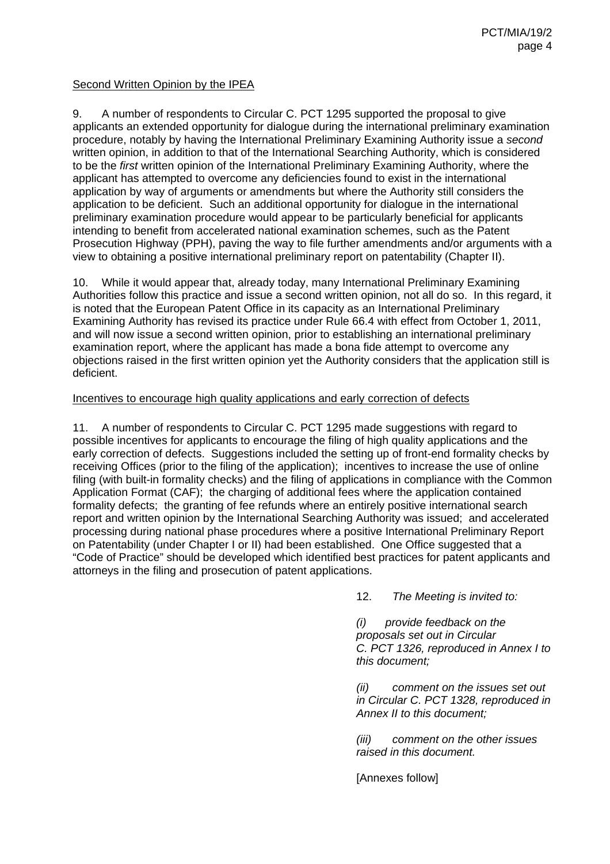## Second Written Opinion by the IPEA

9. A number of respondents to Circular C. PCT 1295 supported the proposal to give applicants an extended opportunity for dialogue during the international preliminary examination procedure, notably by having the International Preliminary Examining Authority issue a *second* written opinion, in addition to that of the International Searching Authority, which is considered to be the *first* written opinion of the International Preliminary Examining Authority, where the applicant has attempted to overcome any deficiencies found to exist in the international application by way of arguments or amendments but where the Authority still considers the application to be deficient. Such an additional opportunity for dialogue in the international preliminary examination procedure would appear to be particularly beneficial for applicants intending to benefit from accelerated national examination schemes, such as the Patent Prosecution Highway (PPH), paving the way to file further amendments and/or arguments with a view to obtaining a positive international preliminary report on patentability (Chapter II).

10. While it would appear that, already today, many International Preliminary Examining Authorities follow this practice and issue a second written opinion, not all do so. In this regard, it is noted that the European Patent Office in its capacity as an International Preliminary Examining Authority has revised its practice under Rule 66.4 with effect from October 1, 2011, and will now issue a second written opinion, prior to establishing an international preliminary examination report, where the applicant has made a bona fide attempt to overcome any objections raised in the first written opinion yet the Authority considers that the application still is deficient.

#### Incentives to encourage high quality applications and early correction of defects

11. A number of respondents to Circular C. PCT 1295 made suggestions with regard to possible incentives for applicants to encourage the filing of high quality applications and the early correction of defects. Suggestions included the setting up of front-end formality checks by receiving Offices (prior to the filing of the application); incentives to increase the use of online filing (with built-in formality checks) and the filing of applications in compliance with the Common Application Format (CAF); the charging of additional fees where the application contained formality defects; the granting of fee refunds where an entirely positive international search report and written opinion by the International Searching Authority was issued; and accelerated processing during national phase procedures where a positive International Preliminary Report on Patentability (under Chapter I or II) had been established. One Office suggested that a "Code of Practice" should be developed which identified best practices for patent applicants and attorneys in the filing and prosecution of patent applications.

12. *The Meeting is invited to:* 

*(i) provide feedback on the proposals set out in Circular C. PCT 1326, reproduced in Annex I to this document;* 

*(ii) comment on the issues set out in Circular C. PCT 1328, reproduced in Annex II to this document;* 

*(iii) comment on the other issues raised in this document.* 

[Annexes follow]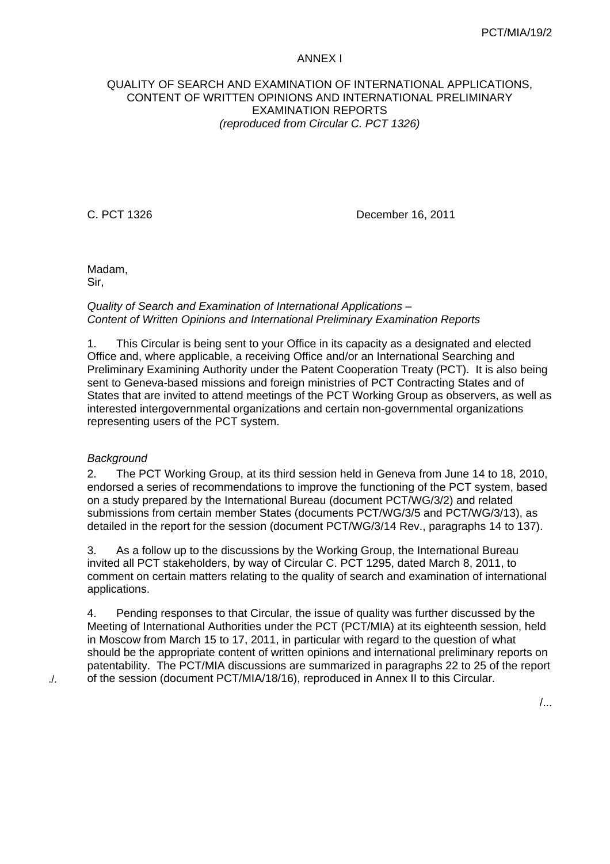#### ANNEX I

## QUALITY OF SEARCH AND EXAMINATION OF INTERNATIONAL APPLICATIONS, CONTENT OF WRITTEN OPINIONS AND INTERNATIONAL PRELIMINARY EXAMINATION REPORTS *(reproduced from Circular C. PCT 1326)*

C. PCT 1326 December 16, 2011

Madam, Sir,

*Quality of Search and Examination of International Applications – Content of Written Opinions and International Preliminary Examination Reports* 

1. This Circular is being sent to your Office in its capacity as a designated and elected Office and, where applicable, a receiving Office and/or an International Searching and Preliminary Examining Authority under the Patent Cooperation Treaty (PCT). It is also being sent to Geneva-based missions and foreign ministries of PCT Contracting States and of States that are invited to attend meetings of the PCT Working Group as observers, as well as interested intergovernmental organizations and certain non-governmental organizations representing users of the PCT system.

## *Background*

2. The PCT Working Group, at its third session held in Geneva from June 14 to 18, 2010, endorsed a series of recommendations to improve the functioning of the PCT system, based on a study prepared by the International Bureau (document PCT/WG/3/2) and related submissions from certain member States (documents PCT/WG/3/5 and PCT/WG/3/13), as detailed in the report for the session (document PCT/WG/3/14 Rev., paragraphs 14 to 137).

3. As a follow up to the discussions by the Working Group, the International Bureau invited all PCT stakeholders, by way of Circular C. PCT 1295, dated March 8, 2011, to comment on certain matters relating to the quality of search and examination of international applications.

4. Pending responses to that Circular, the issue of quality was further discussed by the Meeting of International Authorities under the PCT (PCT/MIA) at its eighteenth session, held in Moscow from March 15 to 17, 2011, in particular with regard to the question of what should be the appropriate content of written opinions and international preliminary reports on patentability. The PCT/MIA discussions are summarized in paragraphs 22 to 25 of the report of the session (document PCT/MIA/18/16), reproduced in Annex II to this Circular.

./.

/...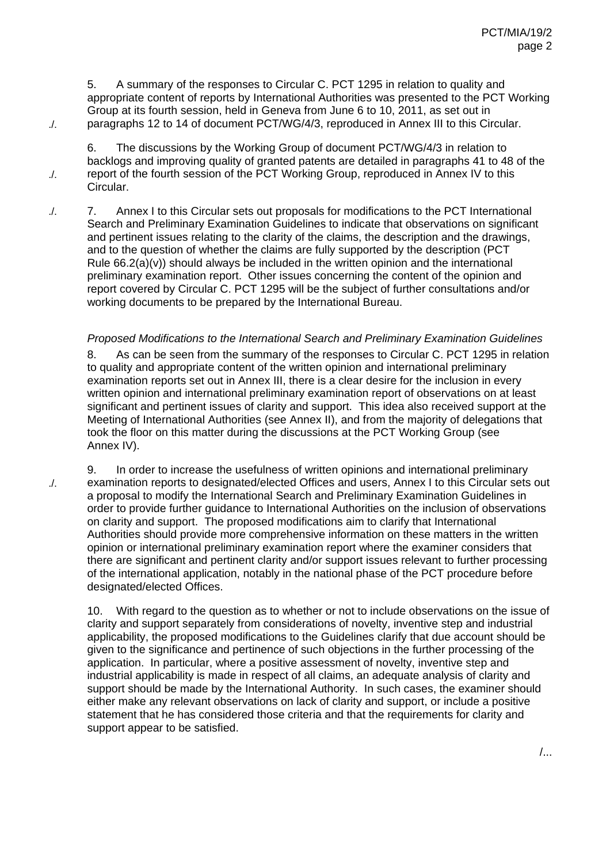5. A summary of the responses to Circular C. PCT 1295 in relation to quality and appropriate content of reports by International Authorities was presented to the PCT Working Group at its fourth session, held in Geneva from June 6 to 10, 2011, as set out in paragraphs 12 to 14 of document PCT/WG/4/3, reproduced in Annex III to this Circular.

./.

./.

./.

6. The discussions by the Working Group of document PCT/WG/4/3 in relation to backlogs and improving quality of granted patents are detailed in paragraphs 41 to 48 of the report of the fourth session of the PCT Working Group, reproduced in Annex IV to this Circular.

7. Annex I to this Circular sets out proposals for modifications to the PCT International Search and Preliminary Examination Guidelines to indicate that observations on significant and pertinent issues relating to the clarity of the claims, the description and the drawings, and to the question of whether the claims are fully supported by the description (PCT Rule  $66.2(a)(v)$ ) should always be included in the written opinion and the international preliminary examination report. Other issues concerning the content of the opinion and report covered by Circular C. PCT 1295 will be the subject of further consultations and/or working documents to be prepared by the International Bureau. ./.

## *Proposed Modifications to the International Search and Preliminary Examination Guidelines*

8. As can be seen from the summary of the responses to Circular C. PCT 1295 in relation to quality and appropriate content of the written opinion and international preliminary examination reports set out in Annex III, there is a clear desire for the inclusion in every written opinion and international preliminary examination report of observations on at least significant and pertinent issues of clarity and support. This idea also received support at the Meeting of International Authorities (see Annex II), and from the majority of delegations that took the floor on this matter during the discussions at the PCT Working Group (see Annex IV).

9. In order to increase the usefulness of written opinions and international preliminary examination reports to designated/elected Offices and users, Annex I to this Circular sets out a proposal to modify the International Search and Preliminary Examination Guidelines in order to provide further guidance to International Authorities on the inclusion of observations on clarity and support. The proposed modifications aim to clarify that International Authorities should provide more comprehensive information on these matters in the written opinion or international preliminary examination report where the examiner considers that there are significant and pertinent clarity and/or support issues relevant to further processing of the international application, notably in the national phase of the PCT procedure before designated/elected Offices.

10. With regard to the question as to whether or not to include observations on the issue of clarity and support separately from considerations of novelty, inventive step and industrial applicability, the proposed modifications to the Guidelines clarify that due account should be given to the significance and pertinence of such objections in the further processing of the application. In particular, where a positive assessment of novelty, inventive step and industrial applicability is made in respect of all claims, an adequate analysis of clarity and support should be made by the International Authority. In such cases, the examiner should either make any relevant observations on lack of clarity and support, or include a positive statement that he has considered those criteria and that the requirements for clarity and support appear to be satisfied.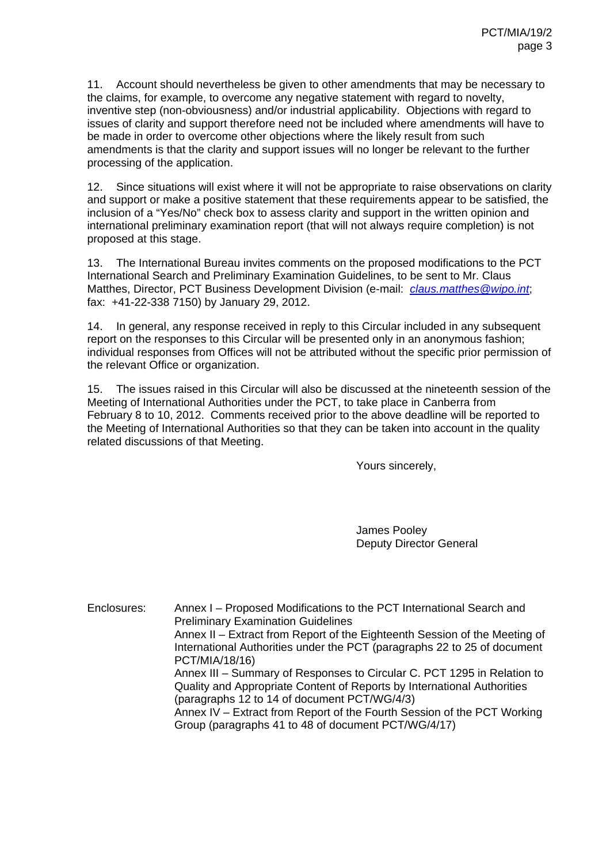11. Account should nevertheless be given to other amendments that may be necessary to the claims, for example, to overcome any negative statement with regard to novelty, inventive step (non-obviousness) and/or industrial applicability. Objections with regard to issues of clarity and support therefore need not be included where amendments will have to be made in order to overcome other objections where the likely result from such amendments is that the clarity and support issues will no longer be relevant to the further processing of the application.

12. Since situations will exist where it will not be appropriate to raise observations on clarity and support or make a positive statement that these requirements appear to be satisfied, the inclusion of a "Yes/No" check box to assess clarity and support in the written opinion and international preliminary examination report (that will not always require completion) is not proposed at this stage.

13. The International Bureau invites comments on the proposed modifications to the PCT International Search and Preliminary Examination Guidelines, to be sent to Mr. Claus Matthes, Director, PCT Business Development Division (e-mail: *claus.matthes@wipo.int*; fax: +41-22-338 7150) by January 29, 2012.

14. In general, any response received in reply to this Circular included in any subsequent report on the responses to this Circular will be presented only in an anonymous fashion; individual responses from Offices will not be attributed without the specific prior permission of the relevant Office or organization.

15. The issues raised in this Circular will also be discussed at the nineteenth session of the Meeting of International Authorities under the PCT, to take place in Canberra from February 8 to 10, 2012. Comments received prior to the above deadline will be reported to the Meeting of International Authorities so that they can be taken into account in the quality related discussions of that Meeting.

Yours sincerely,

James Pooley Deputy Director General

Enclosures: Annex I – Proposed Modifications to the PCT International Search and Preliminary Examination Guidelines Annex II – Extract from Report of the Eighteenth Session of the Meeting of International Authorities under the PCT (paragraphs 22 to 25 of document PCT/MIA/18/16) Annex III – Summary of Responses to Circular C. PCT 1295 in Relation to Quality and Appropriate Content of Reports by International Authorities (paragraphs 12 to 14 of document PCT/WG/4/3) Annex IV – Extract from Report of the Fourth Session of the PCT Working Group (paragraphs 41 to 48 of document PCT/WG/4/17)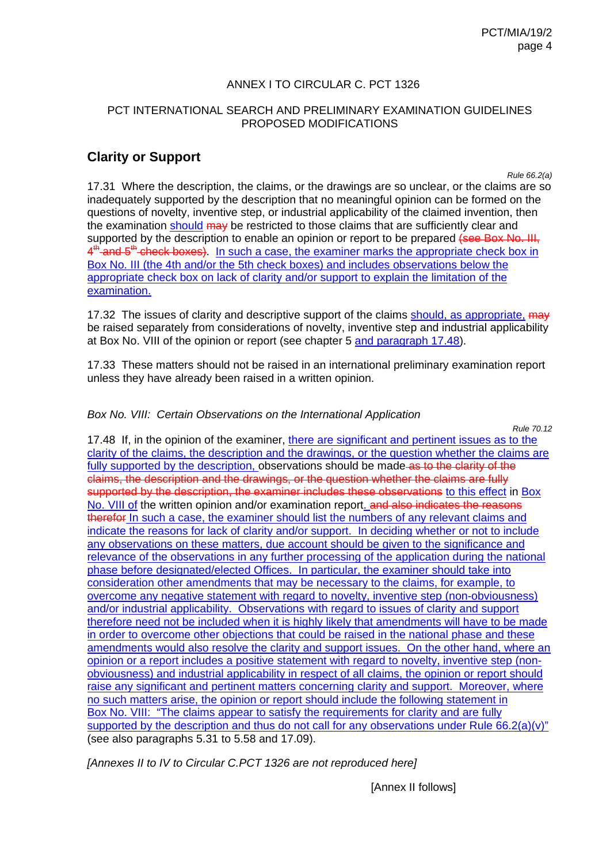## ANNEX I TO CIRCULAR C. PCT 1326

## PCT INTERNATIONAL SEARCH AND PRELIMINARY EXAMINATION GUIDELINES PROPOSED MODIFICATIONS

# **Clarity or Support**

*Rule 66.2(a)* 

17.31 Where the description, the claims, or the drawings are so unclear, or the claims are so inadequately supported by the description that no meaningful opinion can be formed on the questions of novelty, inventive step, or industrial applicability of the claimed invention, then the examination should may be restricted to those claims that are sufficiently clear and supported by the description to enable an opinion or report to be prepared (see Box No. III, 4<sup>th</sup> and 5<sup>th</sup> check boxes). In such a case, the examiner marks the appropriate check box in Box No. III (the 4th and/or the 5th check boxes) and includes observations below the appropriate check box on lack of clarity and/or support to explain the limitation of the examination.

17.32 The issues of clarity and descriptive support of the claims should, as appropriate, may be raised separately from considerations of novelty, inventive step and industrial applicability at Box No. VIII of the opinion or report (see chapter 5 and paragraph 17.48).

17.33 These matters should not be raised in an international preliminary examination report unless they have already been raised in a written opinion.

#### *Box No. VIII: Certain Observations on the International Application*

*Rule 70.12*  17.48 If, in the opinion of the examiner, there are significant and pertinent issues as to the clarity of the claims, the description and the drawings, or the question whether the claims are fully supported by the description, observations should be made-as to the clarity of the claims, the description and the drawings, or the question whether the claims are fully supported by the description, the examiner includes these observations to this effect in Box No. VIII of the written opinion and/or examination report. and also indicates the reasons therefor In such a case, the examiner should list the numbers of any relevant claims and indicate the reasons for lack of clarity and/or support. In deciding whether or not to include any observations on these matters, due account should be given to the significance and relevance of the observations in any further processing of the application during the national phase before designated/elected Offices. In particular, the examiner should take into consideration other amendments that may be necessary to the claims, for example, to overcome any negative statement with regard to novelty, inventive step (non-obviousness) and/or industrial applicability. Observations with regard to issues of clarity and support therefore need not be included when it is highly likely that amendments will have to be made in order to overcome other objections that could be raised in the national phase and these amendments would also resolve the clarity and support issues. On the other hand, where an opinion or a report includes a positive statement with regard to novelty, inventive step (nonobviousness) and industrial applicability in respect of all claims, the opinion or report should raise any significant and pertinent matters concerning clarity and support. Moreover, where no such matters arise, the opinion or report should include the following statement in Box No. VIII: "The claims appear to satisfy the requirements for clarity and are fully supported by the description and thus do not call for any observations under Rule 66.2(a)(v)" (see also paragraphs 5.31 to 5.58 and 17.09).

*[Annexes II to IV to Circular C.PCT 1326 are not reproduced here]* 

[Annex II follows]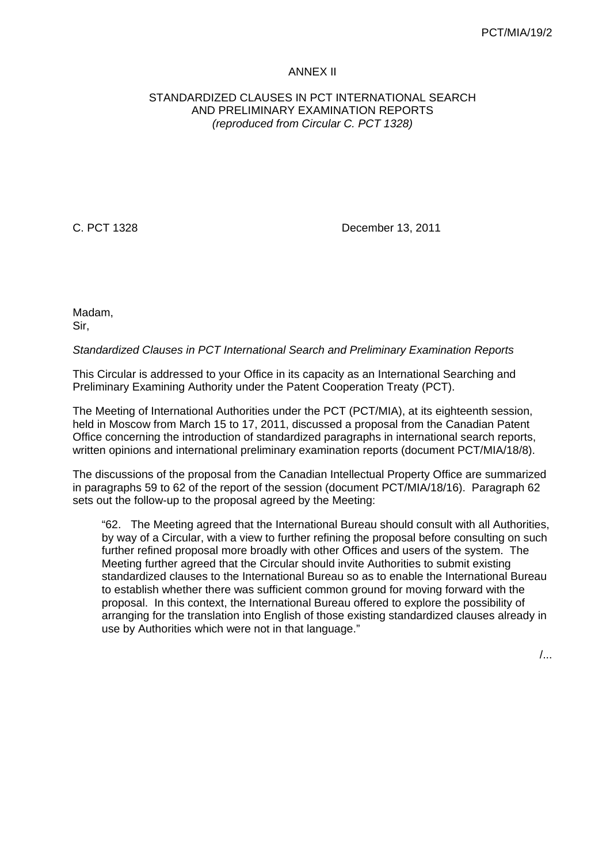#### ANNEX II

### STANDARDIZED CLAUSES IN PCT INTERNATIONAL SEARCH AND PRELIMINARY EXAMINATION REPORTS *(reproduced from Circular C. PCT 1328)*

C. PCT 1328 December 13, 2011

Madam, Sir,

#### *Standardized Clauses in PCT International Search and Preliminary Examination Reports*

This Circular is addressed to your Office in its capacity as an International Searching and Preliminary Examining Authority under the Patent Cooperation Treaty (PCT).

The Meeting of International Authorities under the PCT (PCT/MIA), at its eighteenth session, held in Moscow from March 15 to 17, 2011, discussed a proposal from the Canadian Patent Office concerning the introduction of standardized paragraphs in international search reports, written opinions and international preliminary examination reports (document PCT/MIA/18/8).

The discussions of the proposal from the Canadian Intellectual Property Office are summarized in paragraphs 59 to 62 of the report of the session (document PCT/MIA/18/16). Paragraph 62 sets out the follow-up to the proposal agreed by the Meeting:

"62. The Meeting agreed that the International Bureau should consult with all Authorities, by way of a Circular, with a view to further refining the proposal before consulting on such further refined proposal more broadly with other Offices and users of the system. The Meeting further agreed that the Circular should invite Authorities to submit existing standardized clauses to the International Bureau so as to enable the International Bureau to establish whether there was sufficient common ground for moving forward with the proposal. In this context, the International Bureau offered to explore the possibility of arranging for the translation into English of those existing standardized clauses already in use by Authorities which were not in that language."

/...